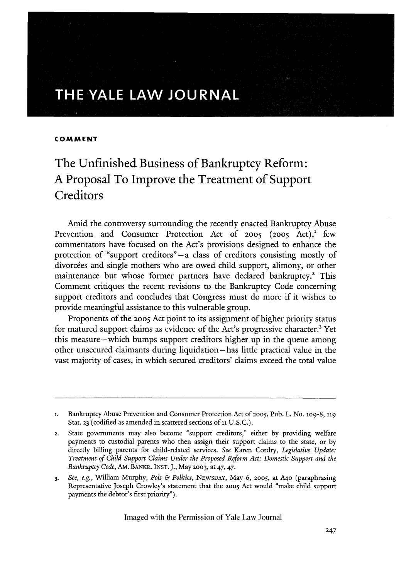# **THE YALE LAW JOURNAL**

# **COMMENT**

# The Unfinished Business of Bankruptcy Reform: **A** Proposal To Improve the Treatment of Support **Creditors**

Amid the controversy surrounding the recently enacted Bankruptcy Abuse Prevention and Consumer Protection Act of 2005 (2005 Act),<sup>1</sup> few commentators have focused on the Act's provisions designed to enhance the protection of "support creditors"-a class of creditors consisting mostly of divorcees and single mothers who are owed child support, alimony, or other maintenance but whose former partners have declared bankruptcy.<sup>2</sup> This Comment critiques the recent revisions to the Bankruptcy Code concerning support creditors and concludes that Congress must do more if it wishes to provide meaningful assistance to this vulnerable group.

Proponents of the **2005** Act point to its assignment of higher priority status for matured support claims as evidence of the Act's progressive character.' Yet this measure-which bumps support creditors higher up in the queue among other unsecured claimants during liquidation-has little practical value in the vast majority of cases, in which secured creditors' claims exceed the total value

**<sup>1.</sup>** Bankruptcy Abuse Prevention and Consumer Protection Act of **2005,** Pub. L. No. lo9-8, **<sup>119</sup>** Stat. **23** (codified as amended in scattered sections of **ii** U.S.C.).

<sup>2.</sup> State governments may also become "support creditors," either by providing welfare payments to custodial parents who then assign their support claims to the state, or by directly billing parents for child-related services. *See* Karen Cordry, *Legislative Update: Treatment of Child Support Claims Under the Proposed Reform Act: Domestic Support and the Bankruptcy Code,* AM. BANKR. INST. J., May **2003,** at 47, 47.

*<sup>3.</sup> See, e.g.,* William Murphy, *Pols & Politics,* NEWSDAY, May 6, 2005, at A4o (paraphrasing Representative Joseph Crowley's statement that the 20o5 Act would "make child support payments the debtor's first priority").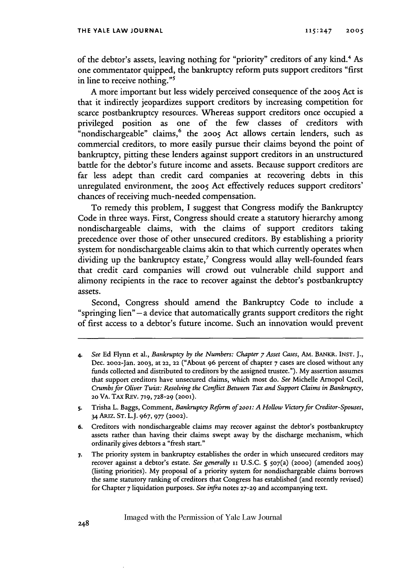of the debtor's assets, leaving nothing for "priority" creditors of any kind.<sup>4</sup> As one commentator quipped, the bankruptcy reform puts support creditors "first in line to receive nothing."<sup>5</sup>

A more important but less widely perceived consequence of the 2005 Act is that it indirectly jeopardizes support creditors by increasing competition for scarce postbankruptcy resources. Whereas support creditors once occupied a privileged position as one of the few classes of creditors with "nondischargeable" claims,<sup>6</sup> the 2005 Act allows certain lenders, such as commercial creditors, to more easily pursue their claims beyond the point of bankruptcy, pitting these lenders against support creditors in an unstructured battle for the debtor's future income and assets. Because support creditors are far less adept than credit card companies at recovering debts in this unregulated environment, the **2005** Act effectively reduces support creditors' chances of receiving much-needed compensation.

To remedy this problem, I suggest that Congress modify the Bankruptcy Code in three ways. First, Congress should create a statutory hierarchy among nondischargeable claims, with the claims of support creditors taking precedence over those of other unsecured creditors. By establishing a priority system for nondischargeable claims akin to that which currently operates when dividing up the bankruptcy estate, $^7$  Congress would allay well-founded fears that credit card companies will crowd out vulnerable child support and alimony recipients in the race to recover against the debtor's postbankruptcy assets.

Second, Congress should amend the Bankruptcy Code to include a "springing lien" **-a** device that automatically grants support creditors the right of first access to a debtor's future income. Such an innovation would prevent

**<sup>4.</sup>** *See* Ed Flynn et al., *Bankruptcy by the Numbers: Chapter 7 Asset Cases,* **AM.** BANKR. **INST.** J., Dec. 2002-Jan. **2003,** at **22, 22** ("About 96 percent of chapter 7 cases are dosed without any funds collected and distributed to creditors by the assigned trustee."). My assertion assumes that support creditors have unsecured daims, which most do. *See* Michelle Arnopol Cecil, *Crumbs for Oliver Twist: Resolving the Conflict Between Tax and Support Claims in Bankruptcy,* **20 VA. TAX REV. 719, 728-29 (2001).**

**S.** Trisha L. Baggs, Comment, *Bankruptcy Reform of 2001: A Hollow Victory for Creditor-Spouses,* 34 ARIZ. **ST.** L.J. **967, 977 (2002).**

**<sup>6.</sup>** Creditors with nondischargeable claims may recover against the debtor's postbankruptcy assets rather than having their claims swept away **by** the discharge mechanism, which ordinarily gives debtors a "fresh start."

**<sup>7.</sup>** The priority system in bankruptcy establishes the order in which unsecured creditors may recover against a debtor's estate. *See generally 11* **U.S.C. S 507(a) (200o)** (amended **2005)** (listing priorities). **My** proposal of a priority system for nondischargeable claims borrows the same statutory ranking of creditors that Congress has established (and recently revised) for Chapter **7** liquidation purposes. *See infra* notes **27-29** and accompanying text.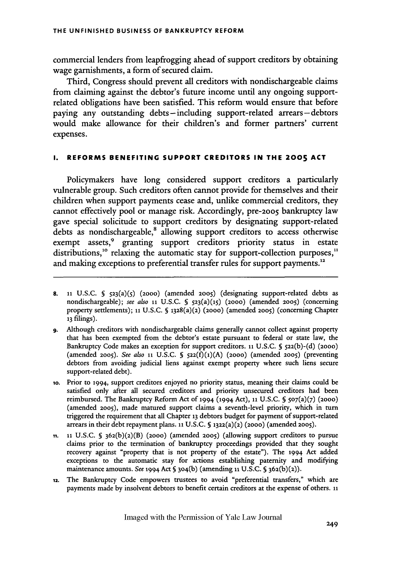commercial lenders from leapfrogging ahead of support creditors by obtaining wage garnishments, a form of secured claim.

Third, Congress should prevent all creditors with nondischargeable claims from claiming against the debtor's future income until any ongoing supportrelated obligations have been satisfied. This reform would ensure that before paying any outstanding debts-including support-related arrears-debtors would make allowance for their children's and former partners' current expenses.

# **I. REFORMS BENEFITING SUPPORT CREDITORS IN THE 2005 ACT**

Policymakers have long considered support creditors a particularly vulnerable group. Such creditors often cannot provide for themselves and their children when support payments cease and, unlike commercial creditors, they cannot effectively pool or manage risk. Accordingly, pre-2005 bankruptcy law gave special solicitude to support creditors by designating support-related debts as nondischargeable,<sup>8</sup> allowing support creditors to access otherwise exempt assets,<sup>9</sup> granting support creditors priority status in estate distributions,<sup>10</sup> relaxing the automatic stay for support-collection purposes,<sup>11</sup> and making exceptions to preferential transfer rules for support payments.<sup>12</sup>

- **8. 11** U.S.C. **§** 523(a)(5) (2000) (amended **2005)** (designating support-related debts as nondischargeable); *see also* **ii** U.S.C. **§** 523(a)(1S) (2000) (amended **2005)** (concerning property settlements); **i** U.S.C. **§** 1328(a)(2) (2000) (amended **2005)** (concerning Chapter **13** filings).
- **9.** Although creditors with nondischargeable claims generally cannot collect against property that has been exempted from the debtor's estate pursuant to federal or state law, the Bankruptcy Code makes an exception for support creditors. **11** U.S.C. **§** 5z2(b)-(d) (2000) (amended **2005).** *See also* **11** U.S.C. **§ 522(f)(1)(A)** (2000) (amended **2005)** (preventing debtors from avoiding judicial liens against exempt property where such liens secure support-related debt).
- io. Prior to 1994, support creditors enjoyed no priority status, meaning their claims could be satisfied only after all secured creditors and priority unsecured creditors had been reimbursed. The Bankruptcy Reform Act of 1994 (1994 Act), **ii** U.S.C. **§** 507(a)(7) (2000) (amended 2oo5), made matured support claims a seventh-level priority, which in turn triggered the requirement that all Chapter **13** debtors budget for payment of support-related arrears in their debt repayment plans. **11** U.S.C. **5** 1322(a)(2) (2000) (amended 2005).
- **Mi. 11** U.S.C. **§** 362(b)(2)(B) (2000) (amended **2005)** (allowing support creditors to pursue claims prior to the termination of bankruptcy proceedings provided that they sought recovery against "property that is not property of the estate"). The 1994 Act added exceptions to the automatic stay for actions establishing paternity and modifying maintenance amounts. *See* 1994 Act **§** 3o4(b) (amending **ii U.S.C.** S 362(b)(2)).
- 12. The Bankruptcy Code empowers trustees to avoid "preferential transfers," which are payments made by insolvent debtors to benefit certain creditors at the expense of others. **ii**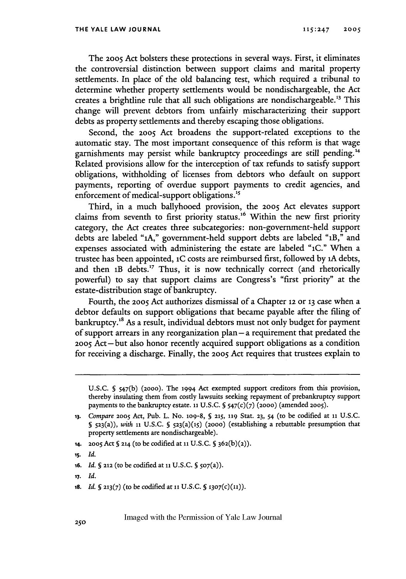The **2005** Act bolsters these protections in several ways. First, it eliminates the controversial distinction between support claims and marital property settlements. In place of the old balancing test, which required a tribunal to determine whether property settlements would be nondischargeable, the Act creates a brightline rule that all such obligations are nondischargeable."3 This change will prevent debtors from unfairly mischaracterizing their support debts as property settlements and thereby escaping those obligations.

Second, the **2005** Act broadens the support-related exceptions to the automatic stay. The most important consequence of this reform is that wage garnishments may persist while bankruptcy proceedings are still pending.<sup>14</sup> Related provisions allow for the interception of tax refunds to satisfy support obligations, withholding of licenses from debtors who default on support payments, reporting of overdue support payments to credit agencies, and enforcement of medical-support obligations.<sup>15</sup>

Third, in a much ballyhooed provision, the **2005** Act elevates support claims from seventh to first priority status.<sup>16</sup> Within the new first priority category, the Act creates three subcategories: non-government-held support debts are labeled **"1A,"** government-held support debts are labeled "IB," and expenses associated with administering the estate are labeled **"1C."** When a trustee has been appointed, **1C** costs are reimbursed first, followed by iA debts, and then **1B** debts.<sup>17</sup> Thus, it is now technically correct (and rhetorically powerful) to say that support claims are Congress's "first priority" at the estate-distribution stage of bankruptcy.

Fourth, the **2005** Act authorizes dismissal of a Chapter **12** or 13 case when a debtor defaults on support obligations that became payable after the filing of bankruptcy.<sup>18</sup> As a result, individual debtors must not only budget for payment of support arrears in any reorganization plan **-a** requirement that predated the **2005** Act -but also honor recently acquired support obligations as a condition for receiving a discharge. Finally, the **2005** Act requires that trustees explain to

- **14. 2005** Act **§ 214** (to be codified at **1** U.S.C. **§** <sup>3</sup> 62(b) (2)).
- **15.** *Id.*
- *16. Id.* **§ 212** (to be codified at **ii U.S.C.** S **507(a)).**
- *17. Id.*
- **is.** *Id. 5* **213(7)** (to be codified at **ii U.S.C. 5 1307(c)(11)).**

U.S.C. § 547(b) **(2000).** The 1994 Act exempted support creditors from this provision, thereby insulating them from costly lawsuits seeking repayment of prebankruptcy support payments to the bankruptcy estate. **11** U.S.C. **5** 547(c)(7) **(2000)** (amended **2005).**

*<sup>13.</sup> Compare* **2005** Act, Pub. L. No. lo9-8, **§ 215, 119** Stat. **23,** 54 (to be codified at **11** U.S.C. **S** 523(a)), *with 11* U.S.C. **5** 523(a)(15) (2000) (establishing a rebuttable presumption that property settlements are nondischargeable).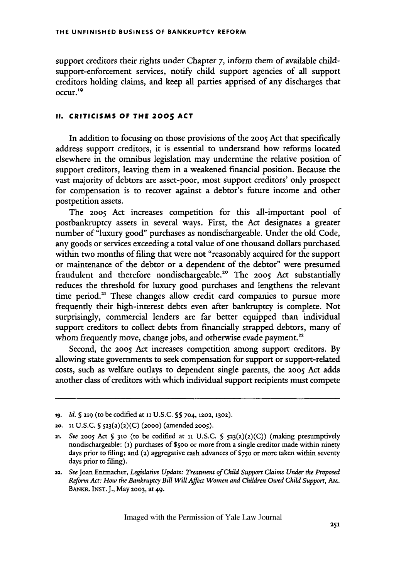support creditors their rights under Chapter 7, inform them of available childsupport-enforcement services, notify child support agencies of all support creditors holding claims, and keep all parties apprised of any discharges that occur.<sup>19</sup>

#### **II. CRITICISMS OF THE 2005 ACT**

In addition to focusing on those provisions of the **2005** Act that specifically address support creditors, it is essential to understand how reforms located elsewhere in the omnibus legislation may undermine the relative position of support creditors, leaving them in a weakened financial position. Because the vast majority of debtors are asset-poor, most support creditors' only prospect for compensation is to recover against a debtor's fiture income and other postpetition assets.

The **2005** Act increases competition for this all-important pool of postbankruptcy assets in several ways. First, the Act designates a greater number of "luxury good" purchases as nondischargeable. Under the old Code, any goods or services exceeding a total value of one thousand dollars purchased within two months of filing that were not "reasonably acquired for the support or maintenance of the debtor or a dependent of the debtor" were presumed fraudulent and therefore nondischargeable.2" The **2005** Act substantially reduces the threshold for luxury good purchases and lengthens the relevant time period.<sup>21</sup> These changes allow credit card companies to pursue more frequently their high-interest debts even after bankruptcy is complete. Not surprisingly, commercial lenders are far better equipped than individual support creditors to collect debts from financially strapped debtors, many of whom frequently move, change jobs, and otherwise evade payment.<sup>22</sup>

Second, the 2005 Act increases competition among support creditors. By allowing state governments to seek compensation for support or support-related costs, such as welfare outlays to dependent single parents, the **2005** Act adds another class of creditors with which individual support recipients must compete

**ig.** *Id.* **§ 219** (to be codified at **ii** U.S.C. **§S** 704, **1202,** 1302).

<sup>20.</sup> **11** U.S.C. **5** 523(a)(2)(C) (2ooo) (amended **2005).**

<sup>21.</sup> *See* **2005** Act **§ 310** (to be codified at **ii** U.S.C. **S** 523(a)(2)(C)) (making presumptively nondischargeable: **(1)** purchases **of \$500** or more from a single creditor made within ninety days prior to filing; and (2) aggregative cash advances **Of** \$750 or more taken within seventy days prior to filing).

**<sup>22.</sup>** *See* Joan Entmacher, *Legislative Update: Treatment of Child Support Claims Under the Proposed Reform Act: How the Bankruptcy Bill Will Affect Women and Children Owed Child Support, AM.* BANKR. INST. J., May **2003,** at 49.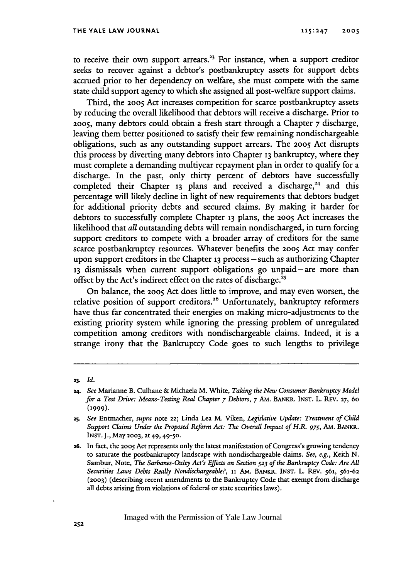to receive their own support arrears.<sup>23</sup> For instance, when a support creditor seeks to recover against a debtor's postbankruptcy assets for support debts accrued prior to her dependency on welfare, she must compete with the same state child support agency to which she assigned all post-welfare support claims.

Third, the **2005** Act increases competition for scarce postbankruptcy assets by reducing the overall likelihood that debtors will receive a discharge. Prior to **2005,** many debtors could obtain a fresh start through a Chapter 7 discharge, leaving them better positioned to satisfy their few remaining nondischargeable obligations, such as any outstanding support arrears. The **2005** Act disrupts this process by diverting many debtors into Chapter **13** bankruptcy, where they must complete a demanding multiyear repayment plan in order to qualify for a discharge. In the past, only thirty percent of debtors have successfully completed their Chapter 13 plans and received a discharge,<sup>24</sup> and this percentage will likely decline in light of new requirements that debtors budget for additional priority debts and secured claims. By making it harder for debtors to successfully complete Chapter **13** plans, the **2005** Act increases the likelihood that *all* outstanding debts will remain nondischarged, in turn forcing support creditors to compete with a broader array of creditors for the same scarce postbankruptcy resources. Whatever benefits the 2005 Act may confer upon support creditors in the Chapter 13 process – such as authorizing Chapter 13 dismissals when current support obligations go unpaid-are more than offset by the Act's indirect effect on the rates of discharge.<sup>25</sup>

On balance, the 2005 Act does little to improve, and may even worsen, the relative position of support creditors.<sup>26</sup> Unfortunately, bankruptcy reformers have thus far concentrated their energies on making micro-adjustments to the existing priority system while ignoring the pressing problem of unregulated competition among creditors with nondischargeable claims. Indeed, it is a strange irony that the Bankruptcy Code goes to such lengths to privilege

**<sup>23.</sup>** *Id.*

**<sup>24.</sup>** *See* Marianne B. Culhane **&** Michaela M. White, *Taking the New Consumer Bankruptcy Model for a Test Drive: Means-Testing Real Chapter 7 Debtors, 7* AM. BANKR. INST. L. REV. **27,** *60* **(1999).**

**<sup>25.</sup>** *See* Entmacher, *supra* note 22; Linda Lea M. Viken, *Legislative Update: Treatment of Child Support Claims Under the Proposed Reform Act: The Overall Impact of H.R. 975,* A. *BANKR.* INST. J., May **2003,** at **49, 49-50.**

**<sup>26.</sup>** In fact, the **2005** Act represents only the latest manifestation of Congress's growing tendency to saturate the postbankruptcy landscape with nondischargeable claims. *See, e.g.,* Keith N. Sambur, Note, *The Sarbanes-Oxley Act's Effects on Section* **523** *of the Bankruptcy Code: Are All Securities Laws Debts Really Nondischargeable?,* **11** Am. BANKR. INST. L. REv. **561,** 561-62 **(2003)** (describing recent amendments to the Bankruptcy Code that exempt from discharge all debts arising from violations of federal or state securities laws).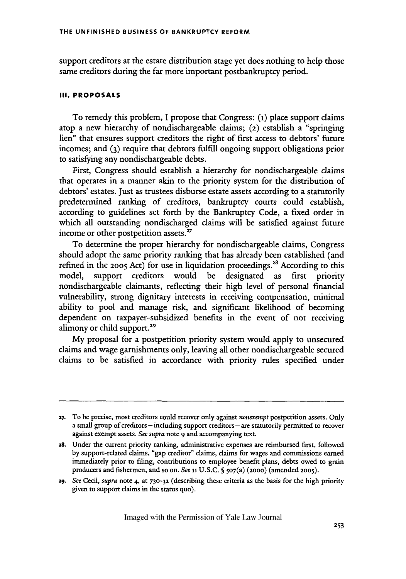support creditors at the estate distribution stage yet does nothing to help those same creditors during the far more important postbankruptcy period.

# **III. PROPOSALS**

To remedy this problem, I propose that Congress: **(1)** place support claims atop a new hierarchy of nondischargeable claims; **(2)** establish a "springing lien" that ensures support creditors the right of first access to debtors' future incomes; and **(3)** require that debtors fulfill ongoing support obligations prior to satisfying any nondischargeable debts.

First, Congress should establish a hierarchy for nondischargeable claims that operates in a manner akin to the priority system for the distribution of debtors' estates. Just as trustees disburse estate assets according to a statutorily predetermined ranking of creditors, bankruptcy courts could establish, according to guidelines set forth by the Bankruptcy Code, a fixed order in which all outstanding nondischarged claims will be satisfied against future income or other postpetition assets.<sup>27</sup>

To determine the proper hierarchy for nondischargeable claims, Congress should adopt the same priority ranking that has already been established (and refined in the 2005 Act) for use in liquidation proceedings.<sup>28</sup> According to this model, support creditors would be designated as first priority nondischargeable claimants, reflecting their high level of personal financial vulnerability, strong dignitary interests in receiving compensation, minimal ability to pool and manage risk, and significant likelihood of becoming dependent on taxpayer-subsidized benefits in the event of not receiving alimony or child support.<sup>29</sup>

My proposal for a postpetition priority system would apply to unsecured claims and wage garnishments only, leaving all other nondischargeable secured claims to be satisfied in accordance with priority rules specified under

**29.** *See* Cecil, *supra* note 4, at **730-32** (describing these criteria as the basis for the high priority given to support claims in the status quo).

**<sup>27.</sup>** To be precise, most creditors could recover only against *nonexempt* postpetition assets. Only a small group of creditors - including support creditors **-** are statutorily permitted to recover against exempt assets. *See supra* note 9 and accompanying text.

**<sup>28.</sup>** Under the current priority ranking, administrative expenses are reimbursed first, followed by support-related claims, "gap creditor" claims, claims for wages and commissions earned immediately prior to filing, contributions to employee benefit plans, debts owed to grain producers and fishermen, and so on. *See* **ii** U.S.C. **S** 507(a) (2000) (amended **2005).**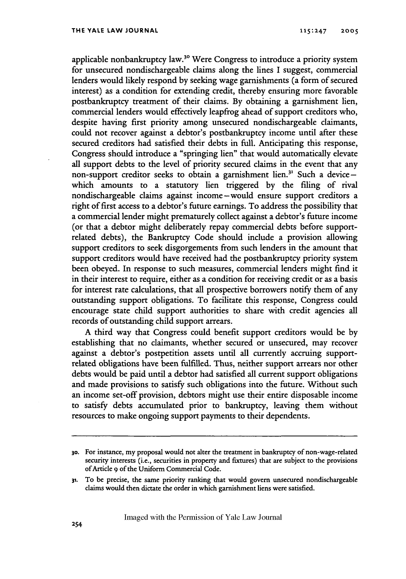applicable nonbankruptcy law.<sup>30</sup> Were Congress to introduce a priority system for unsecured nondischargeable claims along the lines I suggest, commercial lenders would likely respond by seeking wage garnishments (a form of secured interest) as a condition for extending credit, thereby ensuring more favorable postbankruptcy treatment of their claims. By obtaining a garnishment lien, commercial lenders would effectively leapfrog ahead of support creditors who, despite having first priority among unsecured nondischargeable claimants, could not recover against a debtor's postbankruptcy income until after these secured creditors had satisfied their debts in full. Anticipating this response, Congress should introduce a "springing lien" that would automatically elevate all support debts to the level of priority secured claims in the event that any non-support creditor seeks to obtain a garnishment lien.<sup>31</sup> Such a devicewhich amounts to a statutory lien triggered by the filing of rival nondischargeable claims against income-would ensure support creditors a right of first access to a debtor's future earnings. To address the possibility that a commercial lender might prematurely collect against a debtor's future income (or that a debtor might deliberately repay commercial debts before supportrelated debts), the Bankruptcy Code should include a provision allowing support creditors to seek disgorgements from such lenders in the amount that support creditors would have received had the postbankruptcy priority system been obeyed. In response to such measures, commercial lenders might find it in their interest to require, either as a condition for receiving credit or as a basis for interest rate calculations, that all prospective borrowers notify them of any outstanding support obligations. To facilitate this response, Congress could encourage state child support authorities to share with credit agencies all records of outstanding child support arrears.

A third way that Congress could benefit support creditors would be by establishing that no claimants, whether secured or unsecured, may recover against a debtor's postpetition assets until all currently accruing supportrelated obligations have been fulfilled. Thus, neither support arrears nor other debts would be paid until a debtor had satisfied all current support obligations and made provisions to satisfy such obligations into the future. Without such an income set-off provision, debtors might use their entire disposable income to satisfy debts accumulated prior to bankruptcy, leaving them without resources to make ongoing support payments to their dependents.

**31.** To be precise, the same priority ranking that would govern unsecured nondischargeable claims would then dictate the order in which garnishment liens were satisfied.

**<sup>30.</sup>** For instance, my proposal would not alter the treatment in bankruptcy of non-wage-related security interests (i.e., securities in property and fixtures) that are subject to the provisions of Article **9** of the Uniform Commercial Code.